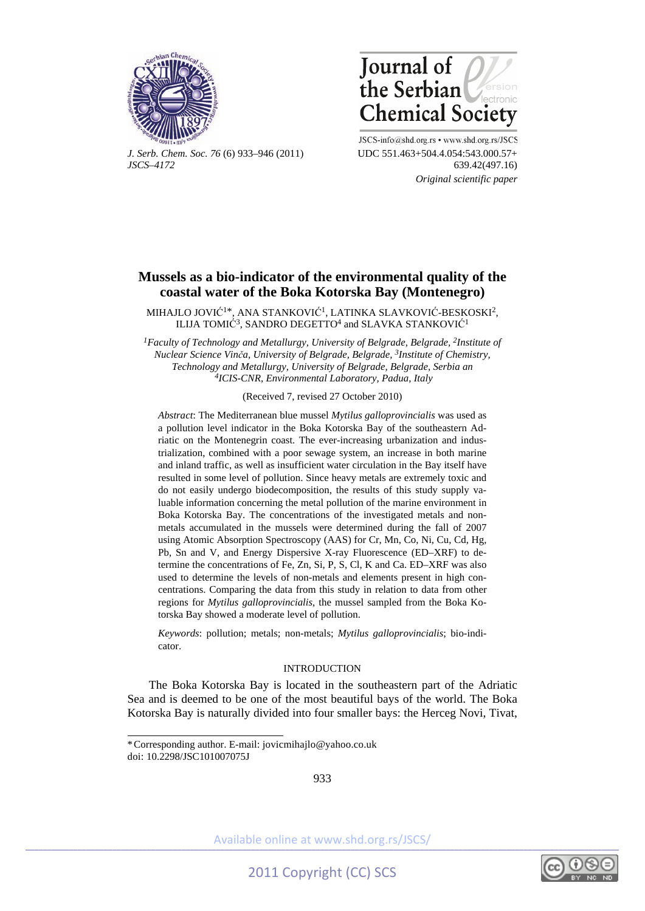



*J. Serb. Chem. Soc. 76* (6) 933–946 (2011) UDC 551.463+504.4.054:543.000.57+ *JSCS–4172* 639.42(497.16)

JSCS-info@shd.org.rs • www.shd.org.rs/JSCS  *Original scientific paper* 

# **Mussels as a bio-indicator of the environmental quality of the coastal water of the Boka Kotorska Bay (Montenegro)**

MIHAJLO JOVIĆ1\*, ANA STANKOVIĆ1, LATINKA SLAVKOVIĆ-BESKOSKI2, ILIJA TOMIĆ<sup>3</sup>, SANDRO DEGETTO<sup>4</sup> and SLAVKA STANKOVIĆ<sup>1</sup>

*1Faculty of Technology and Metallurgy, University of Belgrade, Belgrade, 2Institute of Nuclear Science Vinča, University of Belgrade, Belgrade, 3Institute of Chemistry, Technology and Metallurgy, University of Belgrade, Belgrade, Serbia an 4ICIS-CNR, Environmental Laboratory, Padua, Italy* 

(Received 7, revised 27 October 2010)

*Abstract*: The Mediterranean blue mussel *Mytilus galloprovincialis* was used as a pollution level indicator in the Boka Kotorska Bay of the southeastern Adriatic on the Montenegrin coast. The ever-increasing urbanization and industrialization, combined with a poor sewage system, an increase in both marine and inland traffic, as well as insufficient water circulation in the Bay itself have resulted in some level of pollution. Since heavy metals are extremely toxic and do not easily undergo biodecomposition, the results of this study supply valuable information concerning the metal pollution of the marine environment in Boka Kotorska Bay. The concentrations of the investigated metals and nonmetals accumulated in the mussels were determined during the fall of 2007 using Atomic Absorption Spectroscopy (AAS) for Cr, Mn, Co, Ni, Cu, Cd, Hg, Pb, Sn and V, and Energy Dispersive X-ray Fluorescence (ED–XRF) to determine the concentrations of Fe, Zn, Si, P, S, Cl, K and Ca. ED–XRF was also used to determine the levels of non-metals and elements present in high concentrations. Comparing the data from this study in relation to data from other regions for *Mytilus galloprovincialis*, the mussel sampled from the Boka Kotorska Bay showed a moderate level of pollution.

*Keywords*: pollution; metals; non-metals; *Mytilus galloprovincialis*; bio-indicator.

# INTRODUCTION

The Boka Kotorska Bay is located in the southeastern part of the Adriatic Sea and is deemed to be one of the most beautiful bays of the world. The Boka Kotorska Bay is naturally divided into four smaller bays: the Herceg Novi, Tivat,

 $\overline{a}$ 



<sup>\*</sup> Corresponding author. E-mail: jovicmihajlo@yahoo.co.uk doi: 10.2298/JSC101007075J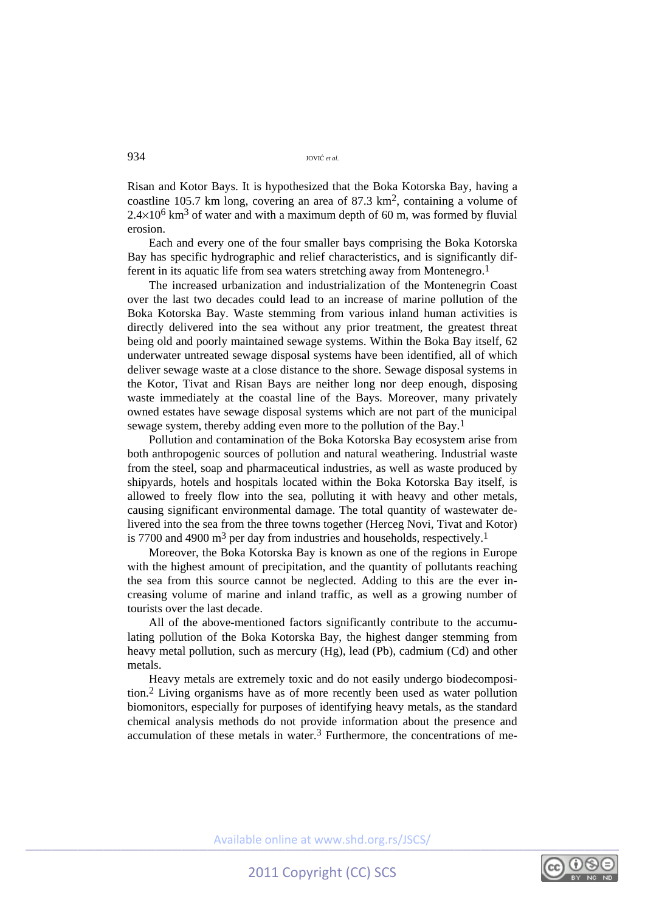Risan and Kotor Bays. It is hypothesized that the Boka Kotorska Bay, having a coastline 105.7 km long, covering an area of 87.3 km2, containing a volume of  $2.4\times10^6$  km<sup>3</sup> of water and with a maximum depth of 60 m, was formed by fluvial erosion.

Each and every one of the four smaller bays comprising the Boka Kotorska Bay has specific hydrographic and relief characteristics, and is significantly different in its aquatic life from sea waters stretching away from Montenegro.<sup>1</sup>

The increased urbanization and industrialization of the Montenegrin Coast over the last two decades could lead to an increase of marine pollution of the Boka Kotorska Bay. Waste stemming from various inland human activities is directly delivered into the sea without any prior treatment, the greatest threat being old and poorly maintained sewage systems. Within the Boka Bay itself, 62 underwater untreated sewage disposal systems have been identified, all of which deliver sewage waste at a close distance to the shore. Sewage disposal systems in the Kotor, Tivat and Risan Bays are neither long nor deep enough, disposing waste immediately at the coastal line of the Bays. Moreover, many privately owned estates have sewage disposal systems which are not part of the municipal sewage system, thereby adding even more to the pollution of the Bay.1

Pollution and contamination of the Boka Kotorska Bay ecosystem arise from both anthropogenic sources of pollution and natural weathering. Industrial waste from the steel, soap and pharmaceutical industries, as well as waste produced by shipyards, hotels and hospitals located within the Boka Kotorska Bay itself, is allowed to freely flow into the sea, polluting it with heavy and other metals, causing significant environmental damage. The total quantity of wastewater delivered into the sea from the three towns together (Herceg Novi, Tivat and Kotor) is 7700 and 4900  $m<sup>3</sup>$  per day from industries and households, respectively.<sup>1</sup>

Moreover, the Boka Kotorska Bay is known as one of the regions in Europe with the highest amount of precipitation, and the quantity of pollutants reaching the sea from this source cannot be neglected. Adding to this are the ever increasing volume of marine and inland traffic, as well as a growing number of tourists over the last decade.

All of the above-mentioned factors significantly contribute to the accumulating pollution of the Boka Kotorska Bay, the highest danger stemming from heavy metal pollution, such as mercury (Hg), lead (Pb), cadmium (Cd) and other metals.

Heavy metals are extremely toxic and do not easily undergo biodecomposition.2 Living organisms have as of more recently been used as water pollution biomonitors, especially for purposes of identifying heavy metals, as the standard chemical analysis methods do not provide information about the presence and accumulation of these metals in water. $3$  Furthermore, the concentrations of me-

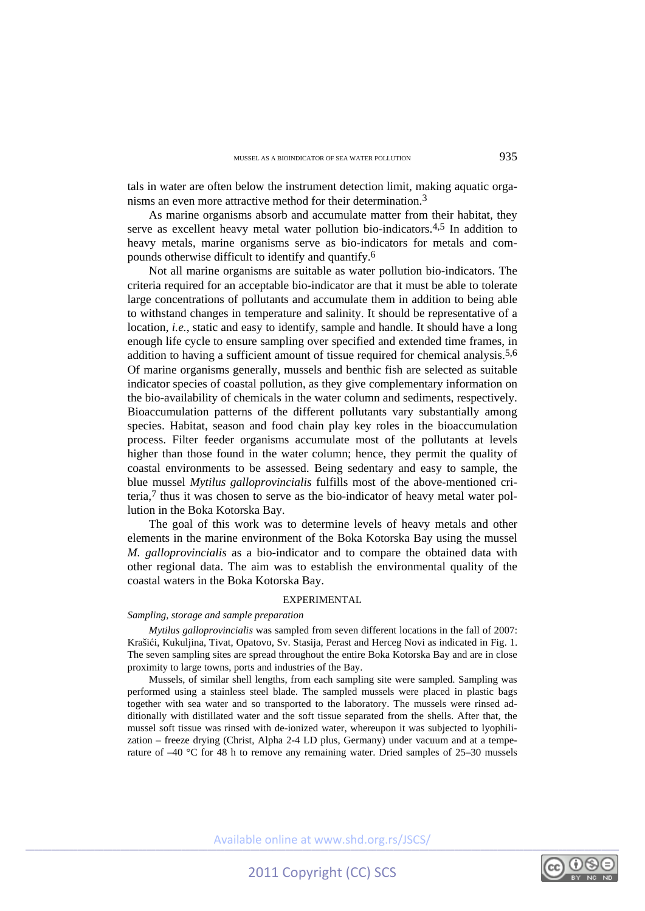tals in water are often below the instrument detection limit, making aquatic organisms an even more attractive method for their determination.3

As marine organisms absorb and accumulate matter from their habitat, they serve as excellent heavy metal water pollution bio-indicators.4,5 In addition to heavy metals, marine organisms serve as bio-indicators for metals and compounds otherwise difficult to identify and quantify.6

Not all marine organisms are suitable as water pollution bio-indicators. The criteria required for an acceptable bio-indicator are that it must be able to tolerate large concentrations of pollutants and accumulate them in addition to being able to withstand changes in temperature and salinity. It should be representative of a location, *i.e.*, static and easy to identify, sample and handle. It should have a long enough life cycle to ensure sampling over specified and extended time frames, in addition to having a sufficient amount of tissue required for chemical analysis.<sup>5,6</sup> Of marine organisms generally, mussels and benthic fish are selected as suitable indicator species of coastal pollution, as they give complementary information on the bio-availability of chemicals in the water column and sediments, respectively. Bioaccumulation patterns of the different pollutants vary substantially among species. Habitat, season and food chain play key roles in the bioaccumulation process. Filter feeder organisms accumulate most of the pollutants at levels higher than those found in the water column; hence, they permit the quality of coastal environments to be assessed. Being sedentary and easy to sample, the blue mussel *Mytilus galloprovincialis* fulfills most of the above-mentioned criteria,7 thus it was chosen to serve as the bio-indicator of heavy metal water pollution in the Boka Kotorska Bay.

The goal of this work was to determine levels of heavy metals and other elements in the marine environment of the Boka Kotorska Bay using the mussel *M. galloprovincialis* as a bio-indicator and to compare the obtained data with other regional data. The aim was to establish the environmental quality of the coastal waters in the Boka Kotorska Bay.

# EXPERIMENTAL

### *Sampling, storage and sample preparation*

*Mytilus galloprovincialis* was sampled from seven different locations in the fall of 2007: Krašići, Kukuljina, Tivat, Opatovo, Sv. Stasija, Perast and Herceg Novi as indicated in Fig. 1. The seven sampling sites are spread throughout the entire Boka Kotorska Bay and are in close proximity to large towns, ports and industries of the Bay.

Mussels, of similar shell lengths, from each sampling site were sampled. Sampling was performed using a stainless steel blade. The sampled mussels were placed in plastic bags together with sea water and so transported to the laboratory. The mussels were rinsed additionally with distillated water and the soft tissue separated from the shells. After that, the mussel soft tissue was rinsed with de-ionized water, whereupon it was subjected to lyophilization – freeze drying (Christ, Alpha 2-4 LD plus, Germany) under vacuum and at a temperature of –40 °C for 48 h to remove any remaining water. Dried samples of 25–30 mussels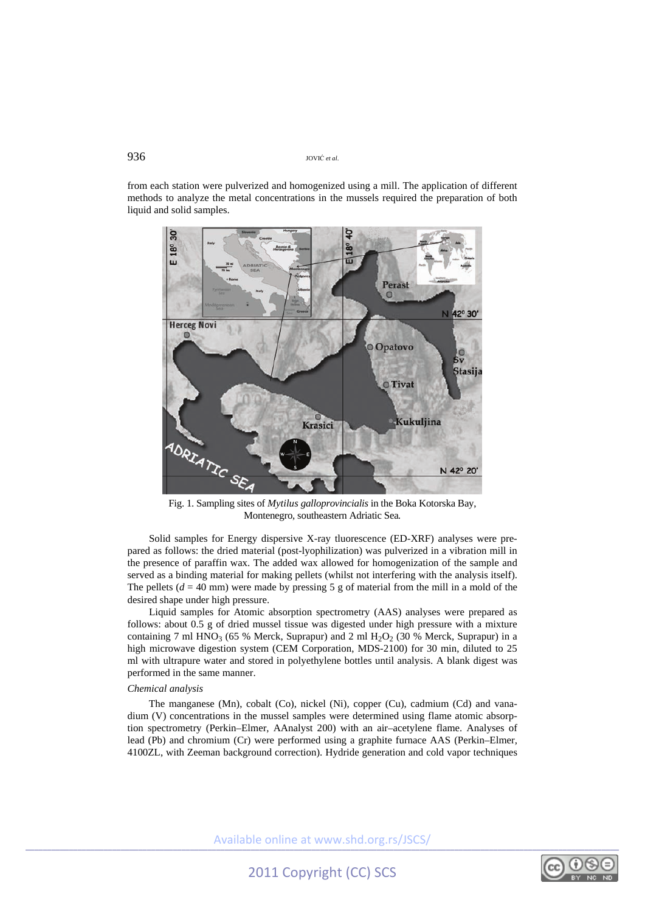from each station were pulverized and homogenized using a mill. The application of different methods to analyze the metal concentrations in the mussels required the preparation of both liquid and solid samples.



Montenegro, southeastern Adriatic Sea*.*

Solid samples for Energy dispersive X-ray tluorescence (ED-XRF) analyses were prepared as follows: the dried material (post-lyophilization) was pulverized in a vibration mill in the presence of paraffin wax. The added wax allowed for homogenization of the sample and served as a binding material for making pellets (whilst not interfering with the analysis itself). The pellets  $(d = 40 \text{ mm})$  were made by pressing 5 g of material from the mill in a mold of the desired shape under high pressure.

Liquid samples for Atomic absorption spectrometry (AAS) analyses were prepared as follows: about 0.5 g of dried mussel tissue was digested under high pressure with a mixture containing 7 ml  $HNO<sub>3</sub>$  (65 % Merck, Suprapur) and 2 ml  $H<sub>2</sub>O<sub>2</sub>$  (30 % Merck, Suprapur) in a high microwave digestion system (CEM Corporation, MDS-2100) for 30 min, diluted to 25 ml with ultrapure water and stored in polyethylene bottles until analysis. A blank digest was performed in the same manner.

#### *Chemical analysis*

The manganese (Mn), cobalt (Co), nickel (Ni), copper (Cu), cadmium (Cd) and vanadium (V) concentrations in the mussel samples were determined using flame atomic absorption spectrometry (Perkin–Elmer, AAnalyst 200) with an air–acetylene flame. Analyses of lead (Pb) and chromium (Cr) were performed using a graphite furnace AAS (Perkin–Elmer, 4100ZL, with Zeeman background correction). Hydride generation and cold vapor techniques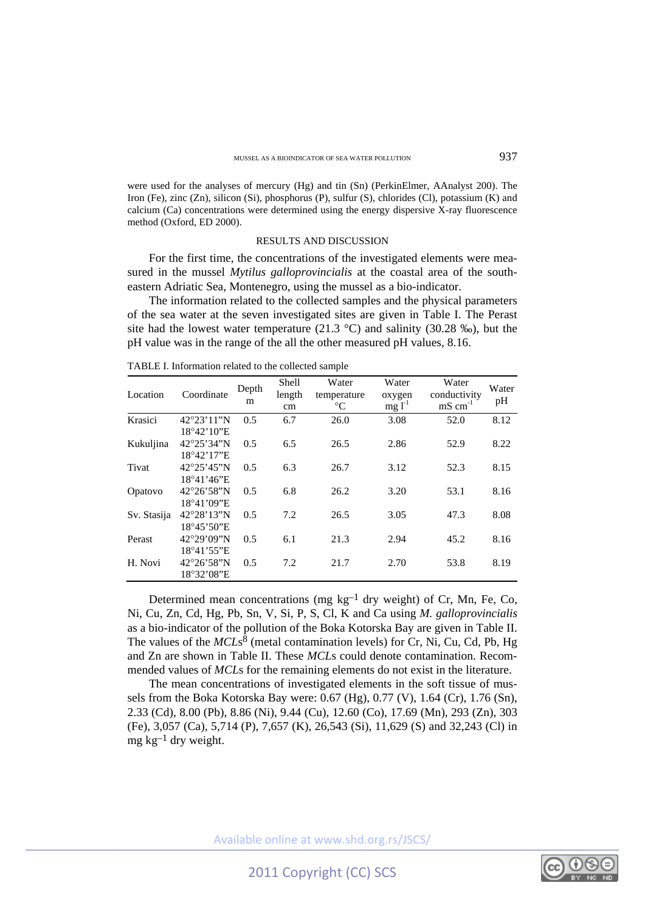were used for the analyses of mercury (Hg) and tin (Sn) (PerkinElmer, AAnalyst 200). The Iron (Fe), zinc (Zn), silicon (Si), phosphorus (P), sulfur (S), chlorides (Cl), potassium (K) and calcium (Ca) concentrations were determined using the energy dispersive X-ray fluorescence method (Oxford, ED 2000).

### RESULTS AND DISCUSSION

For the first time, the concentrations of the investigated elements were measured in the mussel *Mytilus galloprovincialis* at the coastal area of the southeastern Adriatic Sea, Montenegro, using the mussel as a bio-indicator.

The information related to the collected samples and the physical parameters of the sea water at the seven investigated sites are given in Table I. The Perast site had the lowest water temperature (21.3  $^{\circ}$ C) and salinity (30.28 ‰), but the pH value was in the range of the all the other measured pH values, 8.16.

Location Coordinate Depth m Shell length cm Water temperature °C Water oxygen  $mg 1^{-1}$ Water conductivity mS cm<sup>-</sup> Water pH Krasici 42°23'11"N 18°42'10"E 0.5 6.7 26.0 3.08 52.0 8.12 Kukuljina 42°25'34"N 18°42'17"E 0.5 6.5 26.5 2.86 52.9 8.22 Tivat 42°25'45"N 18°41'46"E 0.5 6.3 26.7 3.12 52.3 8.15 Opatovo 42°26'58"N 18°41'09"E 0.5 6.8 26.2 3.20 53.1 8.16 Sv. Stasija 42°28'13"N 18°45'50"E 0.5 7.2 26.5 3.05 47.3 8.08 Perast 42°29'09"N 18°41'55"E 0.5 6.1 21.3 2.94 45.2 8.16 H. Novi 42°26'58"N 18°32'08"E 0.5 7.2 21.7 2.70 53.8 8.19

TABLE I. Information related to the collected sample

Determined mean concentrations (mg  $kg<sup>-1</sup>$  dry weight) of Cr, Mn, Fe, Co, Ni, Cu, Zn, Cd, Hg, Pb, Sn, V, Si, P, S, Cl, K and Ca using *M. galloprovincialis* as a bio-indicator of the pollution of the Boka Kotorska Bay are given in Table II. The values of the *MCLs*<sup>8</sup> (metal contamination levels) for Cr, Ni, Cu, Cd, Pb, Hg and Zn are shown in Table II. These *MCL*s could denote contamination. Recommended values of *MCL*s for the remaining elements do not exist in the literature.

The mean concentrations of investigated elements in the soft tissue of mussels from the Boka Kotorska Bay were:  $0.67$  (Hg),  $0.77$  (V),  $1.64$  (Cr),  $1.76$  (Sn), 2.33 (Cd), 8.00 (Pb), 8.86 (Ni), 9.44 (Cu), 12.60 (Co), 17.69 (Mn), 293 (Zn), 303 (Fe), 3,057 (Ca), 5,714 (P), 7,657 (K), 26,543 (Si), 11,629 (S) and 32,243 (Cl) in mg  $kg^{-1}$  dry weight.

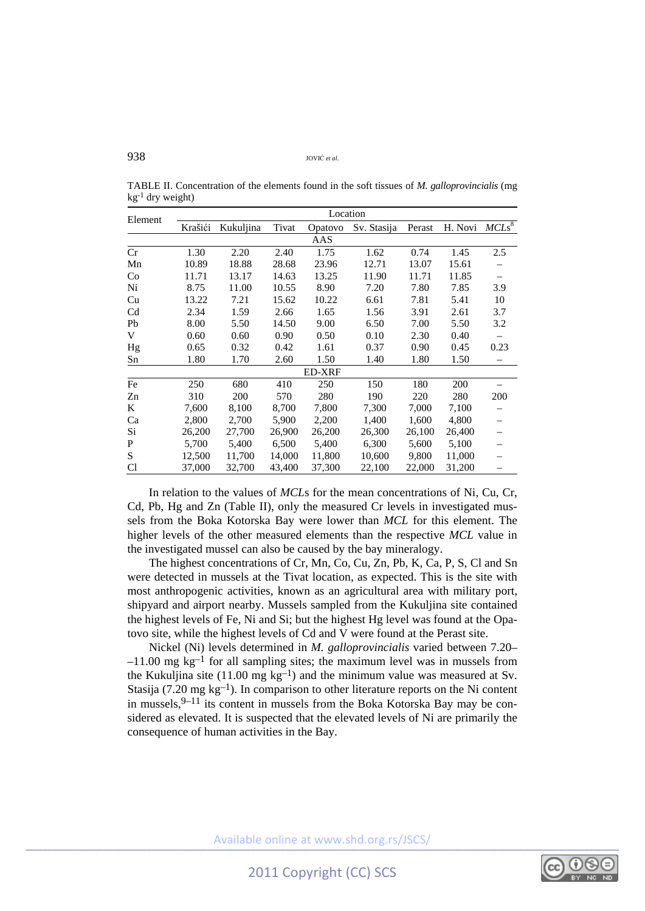| 938 | JOVIC et al. |
|-----|--------------|
|     |              |

TABLE II. Concentration of the elements found in the soft tissues of *M. galloprovincialis* (mg  $kg^{-1}$  dry weight)

| Element       | Location |           |        |         |             |        |         |                          |  |
|---------------|----------|-----------|--------|---------|-------------|--------|---------|--------------------------|--|
|               | Krašići  | Kukuljina | Tivat  | Opatovo | Sv. Stasija | Perast | H. Novi | $MCLs^8$                 |  |
| AAS           |          |           |        |         |             |        |         |                          |  |
| Cr            | 1.30     | 2.20      | 2.40   | 1.75    | 1.62        | 0.74   | 1.45    | 2.5                      |  |
| Mn            | 10.89    | 18.88     | 28.68  | 23.96   | 12.71       | 13.07  | 15.61   |                          |  |
| Co            | 11.71    | 13.17     | 14.63  | 13.25   | 11.90       | 11.71  | 11.85   | $\overline{\phantom{0}}$ |  |
| Ni            | 8.75     | 11.00     | 10.55  | 8.90    | 7.20        | 7.80   | 7.85    | 3.9                      |  |
| Cu            | 13.22    | 7.21      | 15.62  | 10.22   | 6.61        | 7.81   | 5.41    | 10                       |  |
| Cd            | 2.34     | 1.59      | 2.66   | 1.65    | 1.56        | 3.91   | 2.61    | 3.7                      |  |
| Pb            | 8.00     | 5.50      | 14.50  | 9.00    | 6.50        | 7.00   | 5.50    | 3.2                      |  |
| V             | 0.60     | 0.60      | 0.90   | 0.50    | 0.10        | 2.30   | 0.40    | -                        |  |
| Hg            | 0.65     | 0.32      | 0.42   | 1.61    | 0.37        | 0.90   | 0.45    | 0.23                     |  |
| Sn            | 1.80     | 1.70      | 2.60   | 1.50    | 1.40        | 1.80   | 1.50    | $\overline{\phantom{0}}$ |  |
| <b>ED-XRF</b> |          |           |        |         |             |        |         |                          |  |
| Fe            | 250      | 680       | 410    | 250     | 150         | 180    | 200     |                          |  |
| Zn            | 310      | 200       | 570    | 280     | 190         | 220    | 280     | 200                      |  |
| K             | 7,600    | 8,100     | 8,700  | 7,800   | 7,300       | 7,000  | 7,100   | —                        |  |
| Ca            | 2,800    | 2,700     | 5,900  | 2,200   | 1,400       | 1,600  | 4,800   |                          |  |
| Si            | 26,200   | 27,700    | 26,900 | 26,200  | 26,300      | 26,100 | 26,400  | -                        |  |
| P             | 5,700    | 5,400     | 6,500  | 5,400   | 6,300       | 5,600  | 5,100   | —                        |  |
| S             | 12,500   | 11,700    | 14,000 | 11,800  | 10,600      | 9,800  | 11,000  |                          |  |
| Cl            | 37,000   | 32,700    | 43,400 | 37,300  | 22,100      | 22,000 | 31,200  |                          |  |

In relation to the values of *MCL*s for the mean concentrations of Ni, Cu, Cr, Cd, Pb, Hg and Zn (Table II), only the measured Cr levels in investigated mussels from the Boka Kotorska Bay were lower than *MCL* for this element. The higher levels of the other measured elements than the respective *MCL* value in the investigated mussel can also be caused by the bay mineralogy.

The highest concentrations of Cr, Mn, Co, Cu, Zn, Pb, K, Ca, P, S, Cl and Sn were detected in mussels at the Tivat location, as expected. This is the site with most anthropogenic activities, known as an agricultural area with military port, shipyard and airport nearby. Mussels sampled from the Kukuljina site contained the highest levels of Fe, Ni and Si; but the highest Hg level was found at the Opatovo site, while the highest levels of Cd and V were found at the Perast site.

Nickel (Ni) levels determined in *M. galloprovincialis* varied between 7.20–  $-11.00$  mg kg<sup>-1</sup> for all sampling sites; the maximum level was in mussels from the Kukuljina site (11.00 mg  $kg^{-1}$ ) and the minimum value was measured at Sv. Stasija (7.20 mg  $kg^{-1}$ ). In comparison to other literature reports on the Ni content in mussels,  $9-11$  its content in mussels from the Boka Kotorska Bay may be considered as elevated. It is suspected that the elevated levels of Ni are primarily the consequence of human activities in the Bay.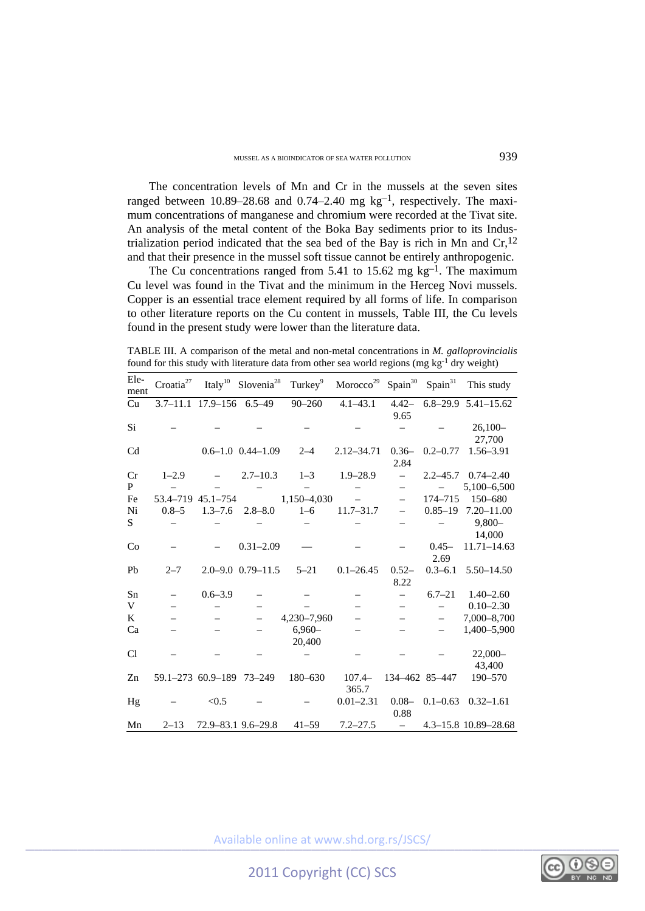The concentration levels of Mn and Cr in the mussels at the seven sites ranged between 10.89–28.68 and 0.74–2.40 mg  $kg^{-1}$ , respectively. The maximum concentrations of manganese and chromium were recorded at the Tivat site. An analysis of the metal content of the Boka Bay sediments prior to its Industrialization period indicated that the sea bed of the Bay is rich in Mn and  $Cr^{12}$ and that their presence in the mussel soft tissue cannot be entirely anthropogenic.

The Cu concentrations ranged from 5.41 to 15.62 mg  $kg^{-1}$ . The maximum Cu level was found in the Tivat and the minimum in the Herceg Novi mussels. Copper is an essential trace element required by all forms of life. In comparison to other literature reports on the Cu content in mussels, Table III, the Cu levels found in the present study were lower than the literature data.

TABLE III. A comparison of the metal and non-metal concentrations in *M. galloprovincialis* found for this study with literature data from other sea world regions (mg kg-1 dry weight)

| Ele-<br>ment   | $Croatia^{27}$           |                          | Italy <sup>10</sup> Slovenia <sup>28</sup> |                                  | Turkey <sup>9</sup> Morocco <sup>29</sup> Spain <sup>30</sup> |                          | Span <sup>31</sup>       | This study                  |
|----------------|--------------------------|--------------------------|--------------------------------------------|----------------------------------|---------------------------------------------------------------|--------------------------|--------------------------|-----------------------------|
| Cu             |                          | 3.7-11.1 17.9-156 6.5-49 |                                            | $90 - 260$                       | $4.1 - 43.1$                                                  | $4.42-$<br>9.65          |                          | $6.8 - 29.9$ $5.41 - 15.62$ |
| Si             |                          |                          |                                            |                                  |                                                               |                          |                          | $26,100-$<br>27,700         |
| C <sub>d</sub> |                          |                          | $0.6 - 1.0$ $0.44 - 1.09$                  | $2 - 4$                          | 2.12-34.71                                                    | $0.36-$<br>2.84          | $0.2 - 0.77$             | $1.56 - 3.91$               |
| Cr             | $1 - 2.9$                |                          | $2.7 - 10.3$                               | $1 - 3$                          | $1.9 - 28.9$                                                  | $\bar{ }$                | $2.2 - 45.7$             | $0.74 - 2.40$               |
| P              |                          |                          |                                            |                                  |                                                               |                          |                          | 5,100-6,500                 |
| Fe             |                          |                          |                                            | 53.4–719 45.1–754 1,150–4,030    | $\equiv$                                                      | $\qquad \qquad -$        | 174-715                  | 150-680                     |
| Ni             | $0.8 - 5$                | $1.3 - 7.6$              | $2.8 - 8.0$                                | $1 - 6$                          | $11.7 - 31.7$                                                 | $\qquad \qquad -$        | $0.85 - 19$              | $7.20 - 11.00$              |
| S              |                          |                          |                                            |                                  |                                                               |                          |                          | $9,800 -$<br>14,000         |
| Co             |                          |                          | $0.31 - 2.09$                              |                                  |                                                               |                          | $0.45-$<br>2.69          | $11.71 - 14.63$             |
| Pb             | $2 - 7$                  |                          | $2.0 - 9.0$ $0.79 - 11.5$                  | $5 - 21$                         | $0.1 - 26.45$                                                 | $0.52 -$<br>8.22         | $0.3 - 6.1$              | $5.50 - 14.50$              |
| Sn             | $\qquad \qquad -$        | $0.6 - 3.9$              |                                            |                                  |                                                               | $\overline{\phantom{0}}$ | $6.7 - 21$               | $1.40 - 2.60$               |
| V              | $\overline{\phantom{0}}$ |                          |                                            |                                  |                                                               | $\equiv$                 |                          | $0.10 - 2.30$               |
| K              | $\overline{\phantom{0}}$ | $\overline{\phantom{0}}$ |                                            | 4,230-7,960                      |                                                               | $-$                      | $\overline{\phantom{0}}$ | 7,000-8,700                 |
| Ca             |                          |                          |                                            | $6,960-$                         | $\qquad \qquad -$                                             | $\overline{\phantom{0}}$ | $\overline{\phantom{0}}$ | 1,400-5,900                 |
|                |                          |                          |                                            | 20,400                           |                                                               |                          |                          |                             |
| C <sub>1</sub> |                          |                          |                                            |                                  |                                                               |                          |                          | $22,000-$                   |
|                |                          |                          |                                            |                                  |                                                               |                          |                          | 43,400                      |
| Zn             |                          |                          |                                            | 59.1-273 60.9-189 73-249 180-630 | $107.4-$                                                      |                          | 134-462 85-447           | 190-570                     |
|                |                          |                          |                                            |                                  | 365.7                                                         |                          |                          |                             |
| Hg             |                          | < 0.5                    |                                            |                                  | $0.01 - 2.31$                                                 | $0.08 -$<br>0.88         | $0.1 - 0.63$             | $0.32 - 1.61$               |
| Mn             | $2 - 13$                 |                          | 72.9-83.1 9.6-29.8                         | $41 - 59$                        | $7.2 - 27.5$                                                  | $\sim$                   |                          | 4.3-15.8 10.89-28.68        |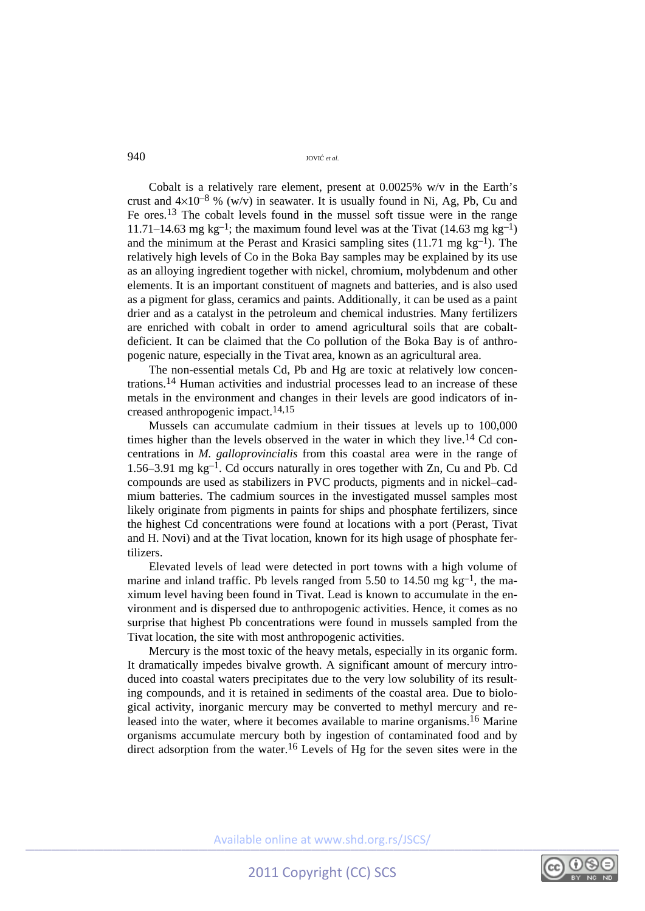Cobalt is a relatively rare element, present at 0.0025% w/v in the Earth's crust and  $4\times10^{-8}$  % (w/v) in seawater. It is usually found in Ni, Ag, Pb, Cu and Fe ores.13 The cobalt levels found in the mussel soft tissue were in the range 11.71–14.63 mg kg<sup>-1</sup>; the maximum found level was at the Tivat (14.63 mg kg<sup>-1</sup>) and the minimum at the Perast and Krasici sampling sites  $(11.71 \text{ mg kg}^{-1})$ . The relatively high levels of Co in the Boka Bay samples may be explained by its use as an alloying ingredient together with nickel, chromium, molybdenum and other elements. It is an important constituent of magnets and batteries, and is also used as a pigment for glass, ceramics and paints. Additionally, it can be used as a paint drier and as a catalyst in the petroleum and chemical industries. Many fertilizers are enriched with cobalt in order to amend agricultural soils that are cobaltdeficient. It can be claimed that the Co pollution of the Boka Bay is of anthropogenic nature, especially in the Tivat area, known as an agricultural area.

The non-essential metals Cd, Pb and Hg are toxic at relatively low concentrations.14 Human activities and industrial processes lead to an increase of these metals in the environment and changes in their levels are good indicators of increased anthropogenic impact.14,15

Mussels can accumulate cadmium in their tissues at levels up to 100,000 times higher than the levels observed in the water in which they live.<sup>14</sup> Cd concentrations in *M. galloprovincialis* from this coastal area were in the range of 1.56–3.91 mg kg–1. Cd occurs naturally in ores together with Zn, Cu and Pb. Cd compounds are used as stabilizers in PVC products, pigments and in nickel–cadmium batteries. The cadmium sources in the investigated mussel samples most likely originate from pigments in paints for ships and phosphate fertilizers, since the highest Cd concentrations were found at locations with a port (Perast, Tivat and H. Novi) and at the Tivat location, known for its high usage of phosphate fertilizers.

Elevated levels of lead were detected in port towns with a high volume of marine and inland traffic. Pb levels ranged from 5.50 to 14.50 mg  $kg<sup>-1</sup>$ , the maximum level having been found in Tivat. Lead is known to accumulate in the environment and is dispersed due to anthropogenic activities. Hence, it comes as no surprise that highest Pb concentrations were found in mussels sampled from the Tivat location, the site with most anthropogenic activities.

Mercury is the most toxic of the heavy metals, especially in its organic form. It dramatically impedes bivalve growth. A significant amount of mercury introduced into coastal waters precipitates due to the very low solubility of its resulting compounds, and it is retained in sediments of the coastal area. Due to biological activity, inorganic mercury may be converted to methyl mercury and released into the water, where it becomes available to marine organisms.16 Marine organisms accumulate mercury both by ingestion of contaminated food and by direct adsorption from the water.16 Levels of Hg for the seven sites were in the

$$
\bigodot_{\text{EY} \text{ NQ} \text{ RQ}}
$$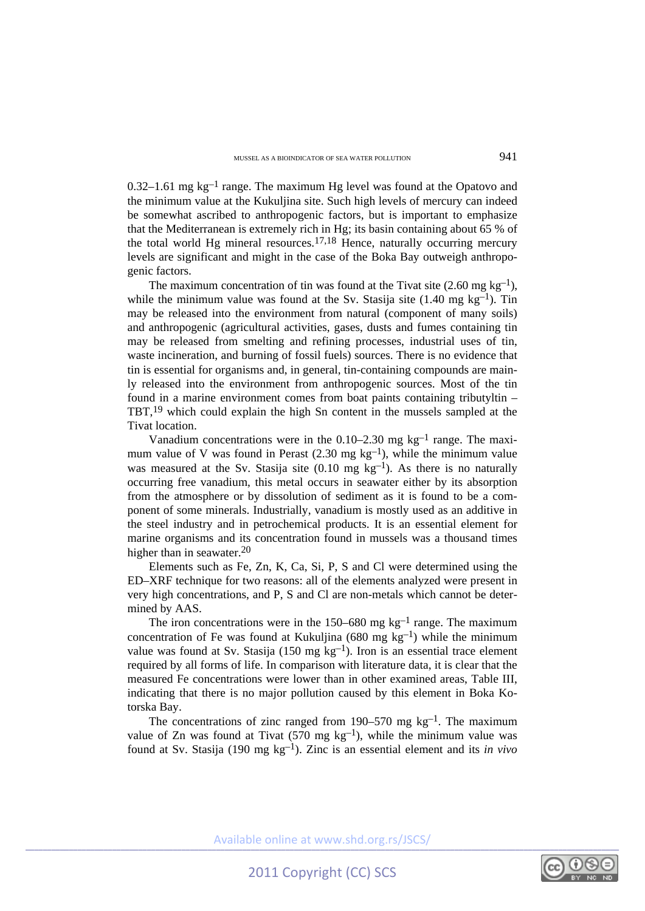0.32–1.61 mg  $kg^{-1}$  range. The maximum Hg level was found at the Opatovo and the minimum value at the Kukuljina site. Such high levels of mercury can indeed be somewhat ascribed to anthropogenic factors, but is important to emphasize that the Mediterranean is extremely rich in Hg; its basin containing about 65 % of the total world Hg mineral resources.<sup>17,18</sup> Hence, naturally occurring mercury levels are significant and might in the case of the Boka Bay outweigh anthropogenic factors.

The maximum concentration of tin was found at the Tivat site (2.60 mg kg<sup>-1</sup>). while the minimum value was found at the Sv. Stasija site  $(1.40 \text{ mg kg}^{-1})$ . Tin may be released into the environment from natural (component of many soils) and anthropogenic (agricultural activities, gases, dusts and fumes containing tin may be released from smelting and refining processes, industrial uses of tin, waste incineration, and burning of fossil fuels) sources. There is no evidence that tin is essential for organisms and, in general, tin-containing compounds are mainly released into the environment from anthropogenic sources. Most of the tin found in a marine environment comes from boat paints containing tributyltin – TBT,19 which could explain the high Sn content in the mussels sampled at the Tivat location.

Vanadium concentrations were in the  $0.10-2.30$  mg kg<sup>-1</sup> range. The maximum value of V was found in Perast  $(2.30 \text{ mg kg}^{-1})$ , while the minimum value was measured at the Sv. Stasija site  $(0.10 \text{ mg kg}^{-1})$ . As there is no naturally occurring free vanadium, this metal occurs in seawater either by its absorption from the atmosphere or by dissolution of sediment as it is found to be a component of some minerals. Industrially, vanadium is mostly used as an additive in the steel industry and in petrochemical products. It is an essential element for marine organisms and its concentration found in mussels was a thousand times higher than in seawater.<sup>20</sup>

Elements such as Fe, Zn, K, Ca, Si, P, S and Cl were determined using the ED–XRF technique for two reasons: all of the elements analyzed were present in very high concentrations, and P, S and Cl are non-metals which cannot be determined by AAS.

The iron concentrations were in the  $150-680$  mg kg<sup>-1</sup> range. The maximum concentration of Fe was found at Kukuljina (680 mg  $kg^{-1}$ ) while the minimum value was found at Sv. Stasija (150 mg  $kg^{-1}$ ). Iron is an essential trace element required by all forms of life. In comparison with literature data, it is clear that the measured Fe concentrations were lower than in other examined areas, Table III, indicating that there is no major pollution caused by this element in Boka Kotorska Bay.

The concentrations of zinc ranged from 190–570 mg  $kg^{-1}$ . The maximum value of Zn was found at Tivat (570 mg  $kg^{-1}$ ), while the minimum value was found at Sv. Stasija (190 mg kg–1). Zinc is an essential element and its *in vivo*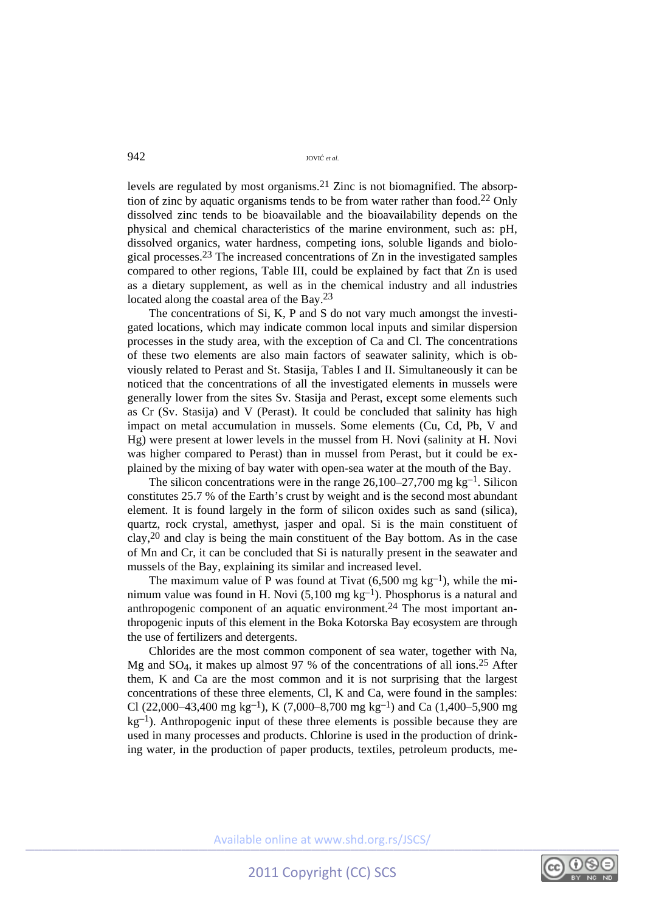levels are regulated by most organisms.21 Zinc is not biomagnified. The absorption of zinc by aquatic organisms tends to be from water rather than food.22 Only dissolved zinc tends to be bioavailable and the bioavailability depends on the physical and chemical characteristics of the marine environment, such as: pH, dissolved organics, water hardness, competing ions, soluble ligands and biological processes.23 The increased concentrations of Zn in the investigated samples compared to other regions, Table III, could be explained by fact that Zn is used as a dietary supplement, as well as in the chemical industry and all industries located along the coastal area of the Bay.<sup>23</sup>

The concentrations of Si, K, P and S do not vary much amongst the investigated locations, which may indicate common local inputs and similar dispersion processes in the study area, with the exception of Ca and Cl. The concentrations of these two elements are also main factors of seawater salinity, which is obviously related to Perast and St. Stasija, Tables I and II. Simultaneously it can be noticed that the concentrations of all the investigated elements in mussels were generally lower from the sites Sv. Stasija and Perast, except some elements such as Cr (Sv. Stasija) and V (Perast). It could be concluded that salinity has high impact on metal accumulation in mussels. Some elements (Cu, Cd, Pb, V and Hg) were present at lower levels in the mussel from H. Novi (salinity at H. Novi was higher compared to Perast) than in mussel from Perast, but it could be explained by the mixing of bay water with open-sea water at the mouth of the Bay.

The silicon concentrations were in the range  $26,100-27,700$  mg kg<sup>-1</sup>. Silicon constitutes 25.7 % of the Earth's crust by weight and is the second most abundant element. It is found largely in the form of silicon oxides such as sand (silica), quartz, rock crystal, amethyst, jasper and opal. Si is the main constituent of clay,20 and clay is being the main constituent of the Bay bottom. As in the case of Mn and Cr, it can be concluded that Si is naturally present in the seawater and mussels of the Bay, explaining its similar and increased level.

The maximum value of P was found at Tivat  $(6,500 \text{ mg kg}^{-1})$ , while the minimum value was found in H. Novi  $(5,100 \text{ mg kg}^{-1})$ . Phosphorus is a natural and anthropogenic component of an aquatic environment.<sup>24</sup> The most important anthropogenic inputs of this element in the Boka Kotorska Bay ecosystem are through the use of fertilizers and detergents.

Chlorides are the most common component of sea water, together with Na, Mg and  $SO_4$ , it makes up almost 97 % of the concentrations of all ions.<sup>25</sup> After them, K and Ca are the most common and it is not surprising that the largest concentrations of these three elements, Cl, K and Ca, were found in the samples: Cl (22,000–43,400 mg kg<sup>-1</sup>), K (7,000–8,700 mg kg<sup>-1</sup>) and Ca (1,400–5,900 mg  $kg^{-1}$ ). Anthropogenic input of these three elements is possible because they are used in many processes and products. Chlorine is used in the production of drinking water, in the production of paper products, textiles, petroleum products, me-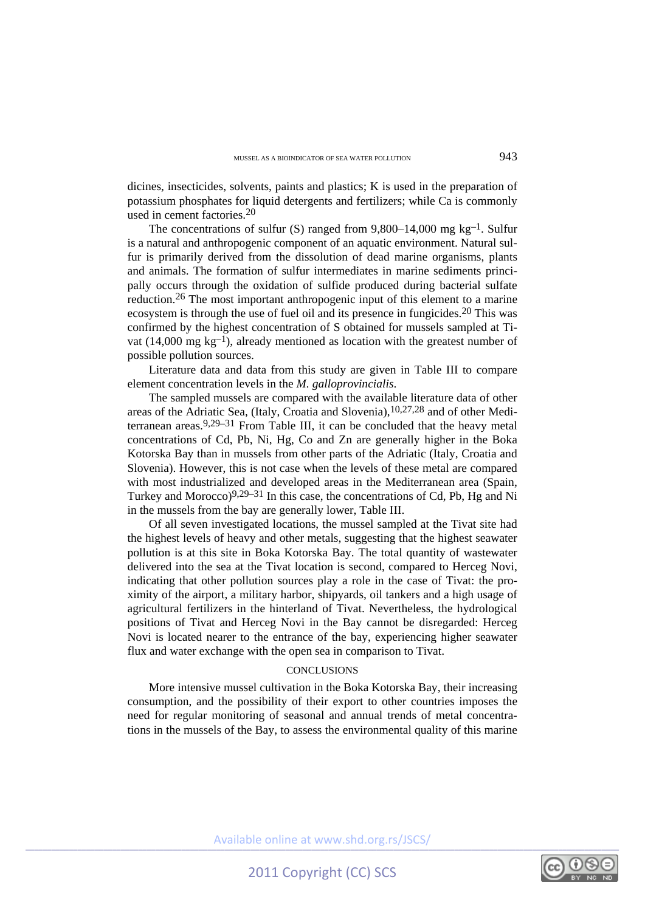dicines, insecticides, solvents, paints and plastics; K is used in the preparation of potassium phosphates for liquid detergents and fertilizers; while Ca is commonly used in cement factories.20

The concentrations of sulfur (S) ranged from  $9,800-14,000$  mg kg<sup>-1</sup>. Sulfur is a natural and anthropogenic component of an aquatic environment. Natural sulfur is primarily derived from the dissolution of dead marine organisms, plants and animals. The formation of sulfur intermediates in marine sediments principally occurs through the oxidation of sulfide produced during bacterial sulfate reduction.26 The most important anthropogenic input of this element to a marine ecosystem is through the use of fuel oil and its presence in fungicides.20 This was confirmed by the highest concentration of S obtained for mussels sampled at Tivat  $(14,000 \text{ mg kg}^{-1})$ , already mentioned as location with the greatest number of possible pollution sources.

Literature data and data from this study are given in Table III to compare element concentration levels in the *M. galloprovincialis*.

The sampled mussels are compared with the available literature data of other areas of the Adriatic Sea, (Italy, Croatia and Slovenia),10,27,28 and of other Mediterranean areas.<sup>9,29–31</sup> From Table III, it can be concluded that the heavy metal concentrations of Cd, Pb, Ni, Hg, Co and Zn are generally higher in the Boka Kotorska Bay than in mussels from other parts of the Adriatic (Italy, Croatia and Slovenia). However, this is not case when the levels of these metal are compared with most industrialized and developed areas in the Mediterranean area (Spain, Turkey and Morocco)9,29–31 In this case, the concentrations of Cd, Pb, Hg and Ni in the mussels from the bay are generally lower, Table III.

Of all seven investigated locations, the mussel sampled at the Tivat site had the highest levels of heavy and other metals, suggesting that the highest seawater pollution is at this site in Boka Kotorska Bay. The total quantity of wastewater delivered into the sea at the Tivat location is second, compared to Herceg Novi, indicating that other pollution sources play a role in the case of Tivat: the proximity of the airport, a military harbor, shipyards, oil tankers and a high usage of agricultural fertilizers in the hinterland of Tivat. Nevertheless, the hydrological positions of Tivat and Herceg Novi in the Bay cannot be disregarded: Herceg Novi is located nearer to the entrance of the bay, experiencing higher seawater flux and water exchange with the open sea in comparison to Tivat.

# **CONCLUSIONS**

More intensive mussel cultivation in the Boka Kotorska Bay, their increasing consumption, and the possibility of their export to other countries imposes the need for regular monitoring of seasonal and annual trends of metal concentrations in the mussels of the Bay, to assess the environmental quality of this marine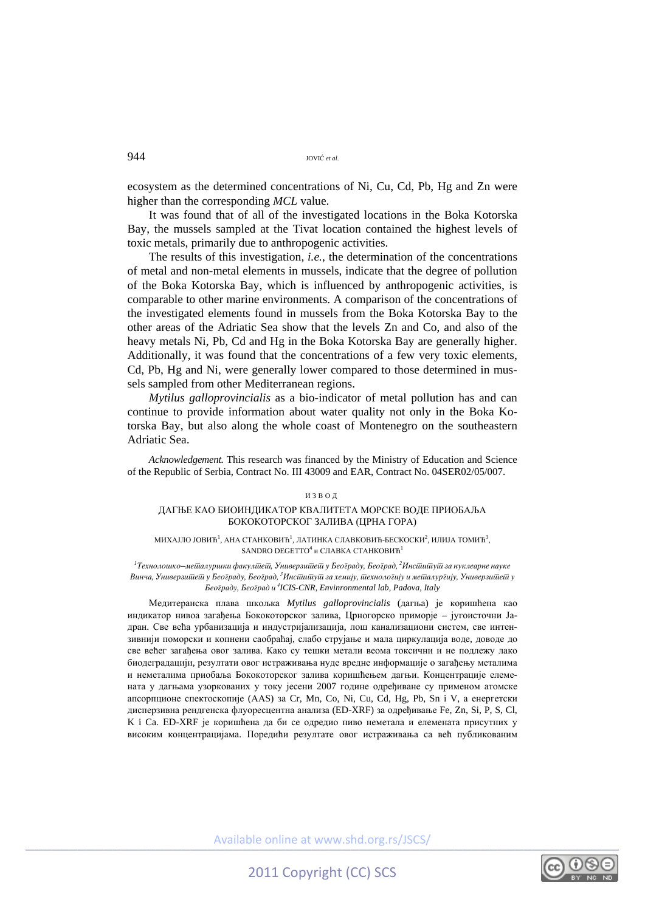ecosystem as the determined concentrations of Ni, Cu, Cd, Pb, Hg and Zn were higher than the corresponding *MCL* value.

It was found that of all of the investigated locations in the Boka Kotorska Bay, the mussels sampled at the Tivat location contained the highest levels of toxic metals, primarily due to anthropogenic activities.

The results of this investigation, *i.e.*, the determination of the concentrations of metal and non-metal elements in mussels, indicate that the degree of pollution of the Boka Kotorska Bay, which is influenced by anthropogenic activities, is comparable to other marine environments. A comparison of the concentrations of the investigated elements found in mussels from the Boka Kotorska Bay to the other areas of the Adriatic Sea show that the levels Zn and Co, and also of the heavy metals Ni, Pb, Cd and Hg in the Boka Kotorska Bay are generally higher. Additionally, it was found that the concentrations of a few very toxic elements, Cd, Pb, Hg and Ni, were generally lower compared to those determined in mussels sampled from other Mediterranean regions.

*Mytilus galloprovincialis* as a bio-indicator of metal pollution has and can continue to provide information about water quality not only in the Boka Kotorska Bay, but also along the whole coast of Montenegro on the southeastern Adriatic Sea.

*Acknowledgement.* This research was financed by the Ministry of Education and Science of the Republic of Serbia, Contract No. III 43009 and EAR, Contract No. 04SER02/05/007.

#### ИЗВОД

#### ДАГЊЕ КАО БИОИНДИКАТОР КВАЛИТЕТА МОРСКЕ ВОДЕ ПРИОБАЉА БОКОКОТОРСКОГ ЗАЛИВА (ЦРНА ГОРА)

#### МИХАЈЛО ЈОВИЋ<sup>1</sup>, АНА СТАНКОВИЋ<sup>1</sup>, ЛАТИНКА СЛАВКОВИЋ-БЕСКОСКИ<sup>2</sup>, ИЛИЈА ТОМИЋ<sup>3</sup>, SANDRO DEGETTO<sup>4</sup> и СЛАВКА СТАНКОВИЋ<sup>1</sup>

 $^1$ Технолошко–меіūалуршки факуліūеіū, Универзиū́іеūī у Бео $\tilde{\imath}$ раду, Бео $\tilde{\imath}$ рад,  $^2$ Инсіū́ишуūī за нуклеарне науке Винча, Универзи<del>йей у Београду, Београд, <sup>3</sup>Инсииийуй за хемију, йехнологију и мейалургију, Универзийей у</del> *Beogradu, Beograd i 4 ICIS-CNR, Envinronmental lab, Padova, Italy*

Медитеранска плава шкољка *Mytilus galloprovincialis* (дагња) је коришћена као индикатор нивоа загађења Бококоторског залива, Црногорско приморје – југоисточни Јадран. Све већа урбанизација и индустријализација, лош канализациони систем, све интензивнији поморски и копнени саобраћај, слабо струјање и мала циркулација воде, доводе до све већег загађења овог залива. Како су тешки метали веома токсични и не подлежу лако биодеградацији, резултати овог истраживања нуде вредне информације о загађењу металима и неметалима приобаља Бококоторског залива коришћењем дагњи. Концентрације елемената у дагњама узоркованих у току јесени 2007 године одређиване су применом атомске апсорпционе спектоскопије (ААS) за Cr, Mn, Co, Ni, Cu, Cd, Hg, Pb, Sn i V, а енергетски дисперзивна рендгенска флуоресцентна анализа (ED-XRF) за одређивање Fe, Zn, Si, P, S, Cl, K i Ca. ЕD-XRF је коришћена да би се одредио ниво неметала и елемената присутних у високим концентрацијама. Поредићи резултате овог истраживања са већ публикованим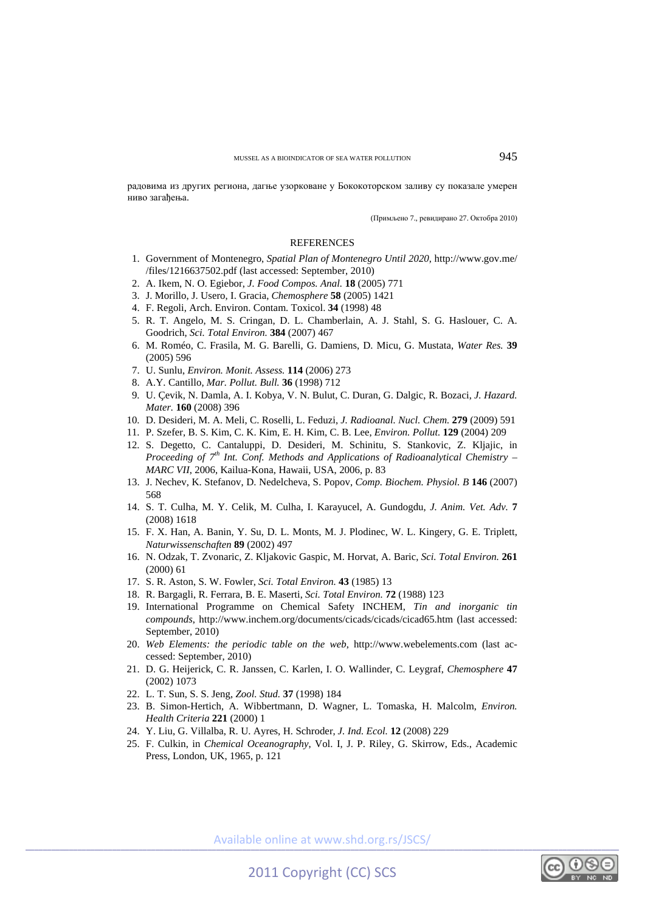радовима из других региона, дагње узорковане у Бококоторском заливу су показале умерен ниво загађења.

(Примљено 7., ревидирано 27. Октобра 2010)

### **REFERENCES**

- 1. Government of Montenegro, *Spatial Plan of Montenegro Until 2020*, http://www.gov.me/ /files/1216637502.pdf (last accessed: September, 2010)
- 2. A. Ikem, N. O. Egiebor, *J. Food Compos. Anal.* **18** (2005) 771
- 3. J. Morillo, J. Usero, I. Gracia, *Chemosphere* **58** (2005) 1421
- 4. F. Regoli, Arch. Environ. Contam. Toxicol. **34** (1998) 48
- 5. R. T. Angelo, M. S. Cringan, D. L. Chamberlain, A. J. Stahl, S. G. Haslouer, C. A. Goodrich, *Sci. Total Environ.* **384** (2007) 467
- 6. M. Roméo, C. Frasila, M. G. Barelli, G. Damiens, D. Micu, G. Mustata, *Water Res.* **39**  (2005) 596
- 7. U. Sunlu, *Environ. Monit. Assess.* **114** (2006) 273
- 8. A.Y. Cantillo, *Mar. Pollut. Bull.* **36** (1998) 712
- 9. U. Çevik, N. Damla, A. I. Kobya, V. N. Bulut, C. Duran, G. Dalgic, R. Bozaci, *J. Hazard. Mater.* **160** (2008) 396
- 10. D. Desideri, M. A. Meli, C. Roselli, L. Feduzi, *J. Radioanal. Nucl. Chem.* **279** (2009) 591
- 11. P. Szefer, B. S. Kim, C. K. Kim, E. H. Kim, C. B. Lee, *Environ. Pollut.* **129** (2004) 209
- 12. S. Degetto, C. Cantaluppi, D. Desideri, M. Schinitu, S. Stankovic, Z. Kljajic, in *Proceeding of 7th Int. Conf. Methods and Applications of Radioanalytical Chemistry – MARC VII*, 2006, Kailua-Kona, Hawaii, USA, 2006, p. 83
- 13. J. Nechev, K. Stefanov, D. Nedelcheva, S. Popov, *Comp. Biochem. Physiol. B* **146** (2007) 568
- 14. S. T. Culha, M. Y. Celik, M. Culha, I. Karayucel, A. Gundogdu, *J. Anim. Vet. Adv.* **7**  (2008) 1618
- 15. F. X. Han, A. Banin, Y. Su, D. L. Monts, M. J. Plodinec, W. L. Kingery, G. E. Triplett, *Naturwissenschaften* **89** (2002) 497
- 16. N. Odzak, T. Zvonaric, Z. Kljakovic Gaspic, M. Horvat, A. Baric, *Sci. Total Environ.* **261** (2000) 61
- 17. S. R. Aston, S. W. Fowler, *Sci. Total Environ.* **43** (1985) 13
- 18. R. Bargagli, R. Ferrara, B. E. Maserti, *Sci. Total Environ.* **72** (1988) 123
- 19. International Programme on Chemical Safety INCHEM, *Tin and inorganic tin compounds*, http://www.inchem.org/documents/cicads/cicads/cicad65.htm (last accessed: September, 2010)
- 20. *Web Elements: the periodic table on the web*, http://www.webelements.com (last accessed: September, 2010)
- 21. D. G. Heijerick, C. R. Janssen, C. Karlen, I. O. Wallinder, C. Leygraf, *Chemosphere* **47** (2002) 1073
- 22. L. T. Sun, S. S. Jeng, *Zool. Stud.* **37** (1998) 184
- 23. B. Simon-Hertich, A. Wibbertmann, D. Wagner, L. Tomaska, H. Malcolm, *Environ. Health Criteria* **221** (2000) 1
- 24. Y. Liu, G. Villalba, R. U. Ayres, H. Schroder, *J. Ind. Ecol.* **12** (2008) 229
- 25. F. Culkin, in *Chemical Oceanography*, Vol. I, J. P. Riley, G. Skirrow, Eds., Academic Press, London, UK, 1965, p. 121